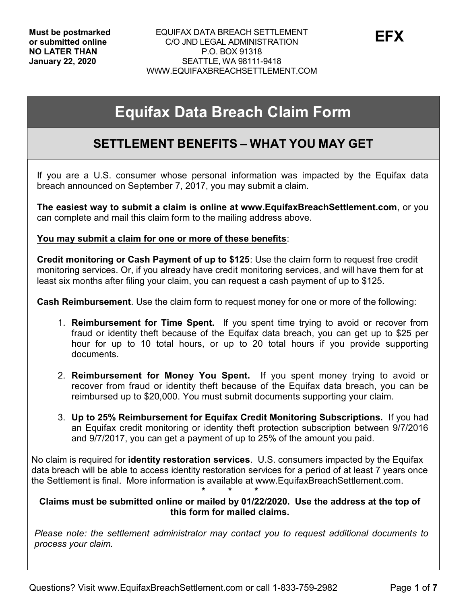# Equifax Data Breach Claim Form

### SETTLEMENT BENEFITS – WHAT YOU MAY GET

If you are a U.S. consumer whose personal information was impacted by the Equifax data breach announced on September 7, 2017, you may submit a claim.

The easiest way to submit a claim is online at www.EquifaxBreachSettlement.com, or you can complete and mail this claim form to the mailing address above.

#### You may submit a claim for one or more of these benefits:

Credit monitoring or Cash Payment of up to \$125: Use the claim form to request free credit monitoring services. Or, if you already have credit monitoring services, and will have them for at least six months after filing your claim, you can request a cash payment of up to \$125.

Cash Reimbursement. Use the claim form to request money for one or more of the following:

- 1. Reimbursement for Time Spent. If you spent time trying to avoid or recover from fraud or identity theft because of the Equifax data breach, you can get up to \$25 per hour for up to 10 total hours, or up to 20 total hours if you provide supporting documents.
- 2. Reimbursement for Money You Spent. If you spent money trying to avoid or recover from fraud or identity theft because of the Equifax data breach, you can be reimbursed up to \$20,000. You must submit documents supporting your claim.
- 3. Up to 25% Reimbursement for Equifax Credit Monitoring Subscriptions. If you had an Equifax credit monitoring or identity theft protection subscription between 9/7/2016 and 9/7/2017, you can get a payment of up to 25% of the amount you paid.

No claim is required for **identity restoration services**. U.S. consumers impacted by the Equifax data breach will be able to access identity restoration services for a period of at least 7 years once the Settlement is final. More information is available at www.EquifaxBreachSettlement.com.

Claims must be submitted online or mailed by 01/22/2020. Use the address at the top of this form for mailed claims.

\* \* \*

Please note: the settlement administrator may contact you to request additional documents to process your claim.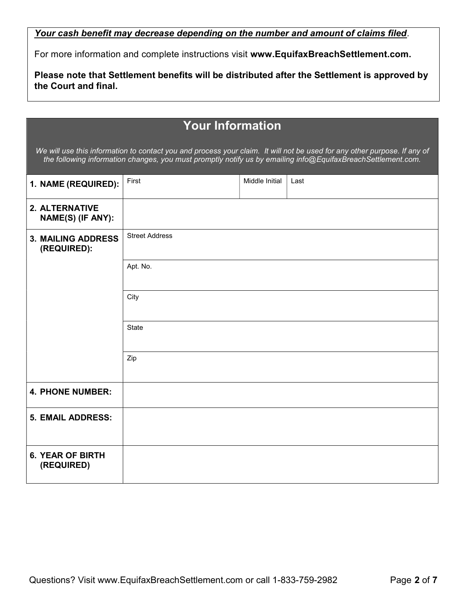Your cash benefit may decrease depending on the number and amount of claims filed.

For more information and complete instructions visit www.EquifaxBreachSettlement.com.

Please note that Settlement benefits will be distributed after the Settlement is approved by the Court and final.

## Your Information

We will use this information to contact you and process your claim. It will not be used for any other purpose. If any of the following information changes, you must promptly notify us by emailing info@EquifaxBreachSettlement.com.

| 1. NAME (REQUIRED):                      | First                 | Middle Initial | Last |
|------------------------------------------|-----------------------|----------------|------|
| 2. ALTERNATIVE<br>NAME(S) (IF ANY):      |                       |                |      |
| <b>3. MAILING ADDRESS</b><br>(REQUIRED): | <b>Street Address</b> |                |      |
|                                          | Apt. No.              |                |      |
|                                          | City                  |                |      |
|                                          | <b>State</b>          |                |      |
|                                          | Zip                   |                |      |
| <b>4. PHONE NUMBER:</b>                  |                       |                |      |
| <b>5. EMAIL ADDRESS:</b>                 |                       |                |      |
| <b>6. YEAR OF BIRTH</b><br>(REQUIRED)    |                       |                |      |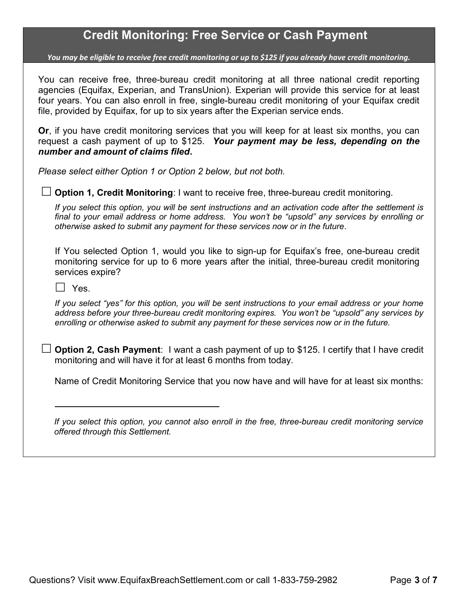### Credit Monitoring: Free Service or Cash Payment

You may be eligible to receive free credit monitoring or up to \$125 if you already have credit monitoring.

You can receive free, three-bureau credit monitoring at all three national credit reporting agencies (Equifax, Experian, and TransUnion). Experian will provide this service for at least four years. You can also enroll in free, single-bureau credit monitoring of your Equifax credit file, provided by Equifax, for up to six years after the Experian service ends.

Or, if you have credit monitoring services that you will keep for at least six months, you can request a cash payment of up to \$125. Your payment may be less, depending on the number and amount of claims filed.

Please select either Option 1 or Option 2 below, but not both.

 $\Box$  Option 1, Credit Monitoring: I want to receive free, three-bureau credit monitoring.

If you select this option, you will be sent instructions and an activation code after the settlement is final to your email address or home address. You won't be "upsold" any services by enrolling or otherwise asked to submit any payment for these services now or in the future.

If You selected Option 1, would you like to sign-up for Equifax's free, one-bureau credit monitoring service for up to 6 more years after the initial, three-bureau credit monitoring services expire?

**N** Yes.

 $\ddot{\phantom{a}}$ 

If you select "yes" for this option, you will be sent instructions to your email address or your home address before your three-bureau credit monitoring expires. You won't be "upsold" any services by enrolling or otherwise asked to submit any payment for these services now or in the future.

 $\Box$  Option 2, Cash Payment: I want a cash payment of up to \$125. I certify that I have credit monitoring and will have it for at least 6 months from today.

Name of Credit Monitoring Service that you now have and will have for at least six months:

If you select this option, you cannot also enroll in the free, three-bureau credit monitoring service offered through this Settlement.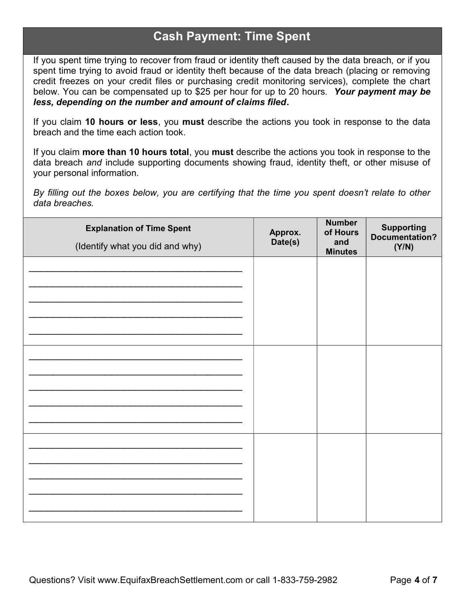### Cash Payment: Time Spent

If you spent time trying to recover from fraud or identity theft caused by the data breach, or if you spent time trying to avoid fraud or identity theft because of the data breach (placing or removing credit freezes on your credit files or purchasing credit monitoring services), complete the chart below. You can be compensated up to \$25 per hour for up to 20 hours. Your payment may be less, depending on the number and amount of claims filed.

If you claim 10 hours or less, you must describe the actions you took in response to the data breach and the time each action took.

If you claim more than 10 hours total, you must describe the actions you took in response to the data breach and include supporting documents showing fraud, identity theft, or other misuse of your personal information.

By filling out the boxes below, you are certifying that the time you spent doesn't relate to other data breaches.

| <b>Explanation of Time Spent</b><br>(Identify what you did and why) | Approx.<br>Date(s) | <b>Number</b><br>of Hours<br>and<br><b>Minutes</b> | <b>Supporting</b><br>Documentation?<br>(Y/N) |
|---------------------------------------------------------------------|--------------------|----------------------------------------------------|----------------------------------------------|
|                                                                     |                    |                                                    |                                              |
|                                                                     |                    |                                                    |                                              |
|                                                                     |                    |                                                    |                                              |
|                                                                     |                    |                                                    |                                              |
|                                                                     |                    |                                                    |                                              |
|                                                                     |                    |                                                    |                                              |
|                                                                     |                    |                                                    |                                              |
|                                                                     |                    |                                                    |                                              |
|                                                                     |                    |                                                    |                                              |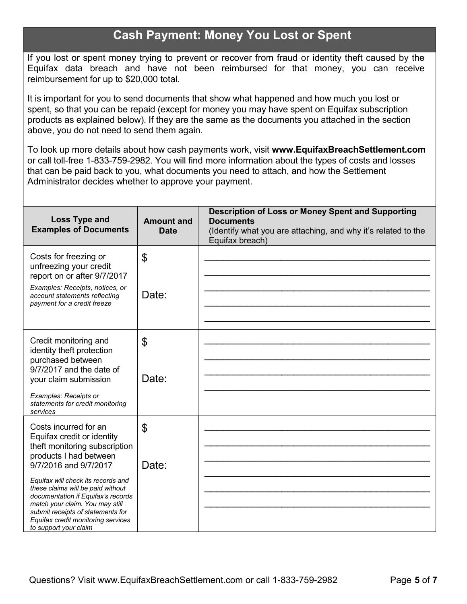### Cash Payment: Money You Lost or Spent

If you lost or spent money trying to prevent or recover from fraud or identity theft caused by the Equifax data breach and have not been reimbursed for that money, you can receive reimbursement for up to \$20,000 total.

It is important for you to send documents that show what happened and how much you lost or spent, so that you can be repaid (except for money you may have spent on Equifax subscription products as explained below). If they are the same as the documents you attached in the section above, you do not need to send them again.

To look up more details about how cash payments work, visit www.EquifaxBreachSettlement.com or call toll-free 1-833-759-2982. You will find more information about the types of costs and losses that can be paid back to you, what documents you need to attach, and how the Settlement Administrator decides whether to approve your payment.

| Loss Type and<br><b>Examples of Documents</b>                                                                                                                                                                                                        | <b>Amount and</b><br><b>Date</b> | Description of Loss or Money Spent and Supporting<br><b>Documents</b><br>(Identify what you are attaching, and why it's related to the<br>Equifax breach) |
|------------------------------------------------------------------------------------------------------------------------------------------------------------------------------------------------------------------------------------------------------|----------------------------------|-----------------------------------------------------------------------------------------------------------------------------------------------------------|
| Costs for freezing or<br>unfreezing your credit<br>report on or after 9/7/2017<br>Examples: Receipts, notices, or<br>account statements reflecting<br>payment for a credit freeze                                                                    | $\mathfrak{L}$<br>Date:          |                                                                                                                                                           |
| Credit monitoring and<br>identity theft protection<br>purchased between<br>9/7/2017 and the date of<br>your claim submission<br>Examples: Receipts or<br>statements for credit monitoring<br>services                                                | \$<br>Date:                      |                                                                                                                                                           |
| Costs incurred for an<br>Equifax credit or identity<br>theft monitoring subscription<br>products I had between<br>9/7/2016 and 9/7/2017                                                                                                              | $\mathfrak{L}$<br>Date:          |                                                                                                                                                           |
| Equifax will check its records and<br>these claims will be paid without<br>documentation if Equifax's records<br>match your claim. You may still<br>submit receipts of statements for<br>Equifax credit monitoring services<br>to support your claim |                                  |                                                                                                                                                           |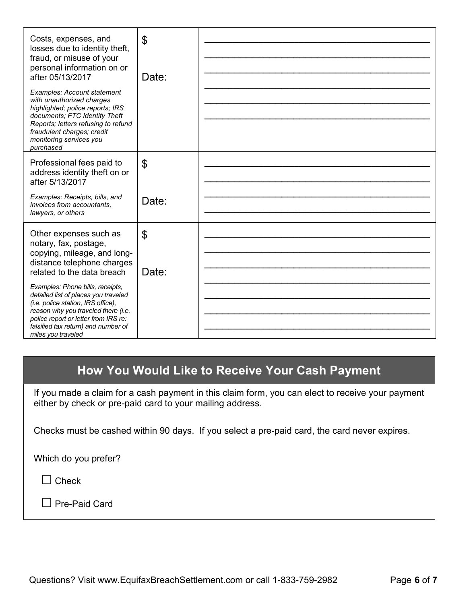| Costs, expenses, and<br>losses due to identity theft,<br>fraud, or misuse of your<br>personal information on or<br>after 05/13/2017                                                                                                                        | \$<br>Date:                        |  |
|------------------------------------------------------------------------------------------------------------------------------------------------------------------------------------------------------------------------------------------------------------|------------------------------------|--|
| Examples: Account statement<br>with unauthorized charges<br>highlighted; police reports; IRS<br>documents; FTC Identity Theft<br>Reports; letters refusing to refund<br>fraudulent charges; credit<br>monitoring services you<br>purchased                 |                                    |  |
| Professional fees paid to<br>address identity theft on or<br>after 5/13/2017                                                                                                                                                                               | \$                                 |  |
| Examples: Receipts, bills, and<br>invoices from accountants.<br>lawyers, or others                                                                                                                                                                         | Date:                              |  |
| Other expenses such as<br>notary, fax, postage,<br>copying, mileage, and long-<br>distance telephone charges<br>related to the data breach                                                                                                                 | $\boldsymbol{\mathsf{S}}$<br>Date: |  |
| Examples: Phone bills, receipts,<br>detailed list of places you traveled<br>(i.e. police station, IRS office),<br>reason why you traveled there (i.e.<br>police report or letter from IRS re:<br>falsified tax return) and number of<br>miles you traveled |                                    |  |

### How You Would Like to Receive Your Cash Payment

If you made a claim for a cash payment in this claim form, you can elect to receive your payment either by check or pre-paid card to your mailing address.

Checks must be cashed within 90 days. If you select a pre-paid card, the card never expires.

Which do you prefer?

 $\Box$  Check

 $\Box$  Pre-Paid Card